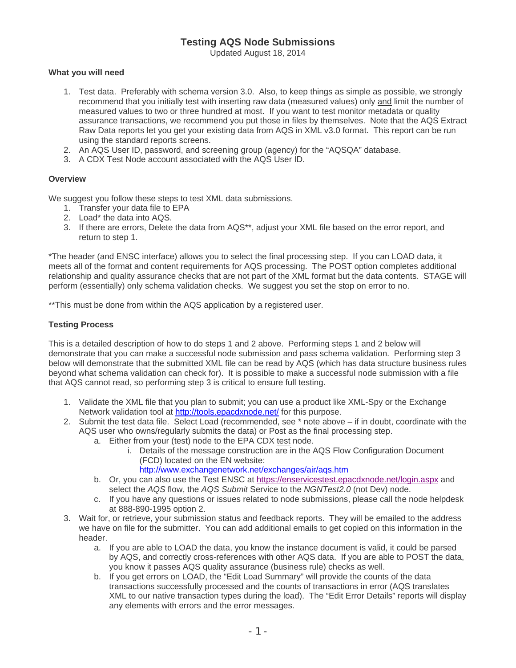## **Testing AQS Node Submissions**

Updated August 18, 2014

## **What you will need**

- 1. Test data. Preferably with schema version 3.0. Also, to keep things as simple as possible, we strongly recommend that you initially test with inserting raw data (measured values) only and limit the number of measured values to two or three hundred at most. If you want to test monitor metadata or quality assurance transactions, we recommend you put those in files by themselves. Note that the AQS Extract Raw Data reports let you get your existing data from AQS in XML v3.0 format. This report can be run using the standard reports screens.
- 2. An AQS User ID, password, and screening group (agency) for the "AQSQA" database.
- 3. A CDX Test Node account associated with the AQS User ID.

## **Overview**

We suggest you follow these steps to test XML data submissions.

- 1. Transfer your data file to EPA
- 2. Load\* the data into AQS.
- 3. If there are errors, Delete the data from AQS\*\*, adjust your XML file based on the error report, and return to step 1.

\*The header (and ENSC interface) allows you to select the final processing step. If you can LOAD data, it meets all of the format and content requirements for AQS processing. The POST option completes additional relationship and quality assurance checks that are not part of the XML format but the data contents. STAGE will perform (essentially) only schema validation checks. We suggest you set the stop on error to no.

\*\*This must be done from within the AQS application by a registered user.

## **Testing Process**

This is a detailed description of how to do steps 1 and 2 above. Performing steps 1 and 2 below will demonstrate that you can make a successful node submission and pass schema validation. Performing step 3 below will demonstrate that the submitted XML file can be read by AQS (which has data structure business rules beyond what schema validation can check for). It is possible to make a successful node submission with a file that AQS cannot read, so performing step 3 is critical to ensure full testing.

- 1. Validate the XML file that you plan to submit; you can use a product like XML-Spy or the Exchange Network validation tool at http://tools.epacdxnode.net/ for this purpose.
- 2. Submit the test data file. Select Load (recommended, see \* note above if in doubt, coordinate with the AQS user who owns/regularly submits the data) or Post as the final processing step.
	- a. Either from your (test) node to the EPA CDX test node.
		- i. Details of the message construction are in the AQS Flow Configuration Document (FCD) located on the EN website:
			- http://www.exchangenetwork.net/exchanges/air/aqs.htm
	- b. Or, you can also use the Test ENSC at https://enservicestest.epacdxnode.net/login.aspx and select the *AQS* flow, the *AQS Submit* Service to the *NGNTest2.0* (not Dev) node.
	- c. If you have any questions or issues related to node submissions, please call the node helpdesk at 888-890-1995 option 2.
- 3. Wait for, or retrieve, your submission status and feedback reports. They will be emailed to the address we have on file for the submitter. You can add additional emails to get copied on this information in the header.
	- a. If you are able to LOAD the data, you know the instance document is valid, it could be parsed by AQS, and correctly cross-references with other AQS data. If you are able to POST the data, you know it passes AQS quality assurance (business rule) checks as well.
	- b. If you get errors on LOAD, the "Edit Load Summary" will provide the counts of the data transactions successfully processed and the counts of transactions in error (AQS translates XML to our native transaction types during the load). The "Edit Error Details" reports will display any elements with errors and the error messages.